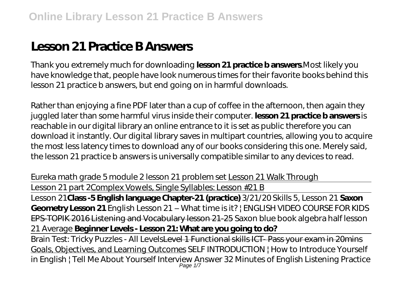# **Lesson 21 Practice B Answers**

Thank you extremely much for downloading **lesson 21 practice b answers**.Most likely you have knowledge that, people have look numerous times for their favorite books behind this lesson 21 practice b answers, but end going on in harmful downloads.

Rather than enjoying a fine PDF later than a cup of coffee in the afternoon, then again they juggled later than some harmful virus inside their computer. **lesson 21 practice b answers** is reachable in our digital library an online entrance to it is set as public therefore you can download it instantly. Our digital library saves in multipart countries, allowing you to acquire the most less latency times to download any of our books considering this one. Merely said, the lesson 21 practice b answers is universally compatible similar to any devices to read.

*Eureka math grade 5 module 2 lesson 21 problem set* Lesson 21 Walk Through

Lesson 21 part 2Complex Vowels, Single Syllables: Lesson #21 B

Lesson 21**Class -5 English language Chapter-21 (practice)** *3/21/20 Skills 5, Lesson 21* **Saxon Geometry Lesson 21** English Lesson 21 – What time is it? | ENGLISH VIDEO COURSE FOR KIDS EPS-TOPIK 2016 Listening and Vocabulary lesson 21-25 Saxon blue book algebra half lesson 21 Average **Beginner Levels - Lesson 21: What are you going to do?**

Brain Test: Tricky Puzzles - All LevelsLevel 1 Functional skills ICT- Pass your exam in 20mins Goals, Objectives, and Learning Outcomes SELF INTRODUCTION | How to Introduce Yourself in English | Tell Me About Yourself Interview Answer *32 Minutes of English Listening Practice* Page 1/7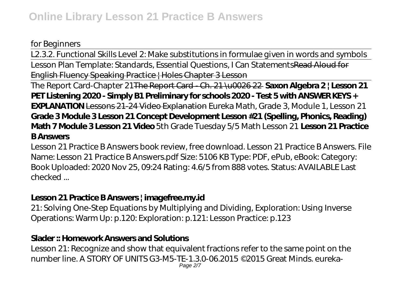#### *for Beginners*

L2.3.2. Functional Skills Level 2: Make substitutions in formulae given in words and symbols Lesson Plan Template: Standards, Essential Questions, I Can StatementsRead Aloud for English Fluency Speaking Practice | Holes Chapter 3 Lesson

The Report Card-Chapter 21The Report Card - Ch. 21 \u0026 22 **Saxon Algebra 2 | Lesson 21 PET Listening 2020 - Simply B1 Preliminary for schools 2020 - Test 5 with ANSWER KEYS + EXPLANATION** Lessons 21-24 Video Explanation *Eureka Math, Grade 3, Module 1, Lesson 21* **Grade 3 Module 3 Lesson 21 Concept Development Lesson #21 (Spelling, Phonics, Reading) Math 7 Module 3 Lesson 21 Video** 5th Grade Tuesday 5/5 Math Lesson 21 **Lesson 21 Practice B Answers**

Lesson 21 Practice B Answers book review, free download. Lesson 21 Practice B Answers. File Name: Lesson 21 Practice B Answers.pdf Size: 5106 KB Type: PDF, ePub, eBook: Category: Book Uploaded: 2020 Nov 25, 09:24 Rating: 4.6/5 from 888 votes. Status: AVAILABLE Last checked ...

## **Lesson 21 Practice B Answers | imagefree.my.id**

21: Solving One-Step Equations by Multiplying and Dividing, Exploration: Using Inverse Operations: Warm Up: p.120: Exploration: p.121: Lesson Practice: p.123

# **Slader :: Homework Answers and Solutions**

Lesson 21: Recognize and show that equivalent fractions refer to the same point on the number line. A STORY OF UNITS G3-M5-TE-1.3.0-06.2015 ©2015 Great Minds. eureka-Page 2/7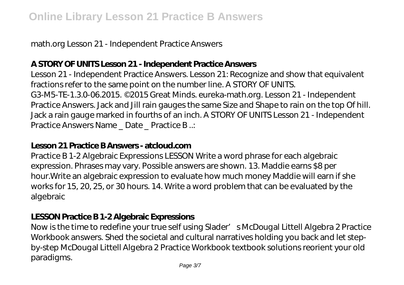math.org Lesson 21 - Independent Practice Answers

## **A STORY OF UNITS Lesson 21 - Independent Practice Answers**

Lesson 21 - Independent Practice Answers. Lesson 21: Recognize and show that equivalent fractions refer to the same point on the number line. A STORY OF UNITS. G3-M5-TE-1.3.0-06.2015. ©2015 Great Minds. eureka-math.org. Lesson 21 - Independent Practice Answers. Jack and Jill rain gauges the same Size and Shape to rain on the top Of hill. Jack a rain gauge marked in fourths of an inch. A STORY OF UNITS Lesson 21 - Independent Practice Answers Name \_ Date \_ Practice B ..:

#### **Lesson 21 Practice B Answers - atcloud.com**

Practice B 1-2 Algebraic Expressions LESSON Write a word phrase for each algebraic expression. Phrases may vary. Possible answers are shown. 13. Maddie earns \$8 per hour.Write an algebraic expression to evaluate how much money Maddie will earn if she works for 15, 20, 25, or 30 hours. 14. Write a word problem that can be evaluated by the algebraic

#### **LESSON Practice B 1-2 Algebraic Expressions**

Now is the time to redefine your true self using Slader' s McDougal Littell Algebra 2 Practice Workbook answers. Shed the societal and cultural narratives holding you back and let stepby-step McDougal Littell Algebra 2 Practice Workbook textbook solutions reorient your old paradigms.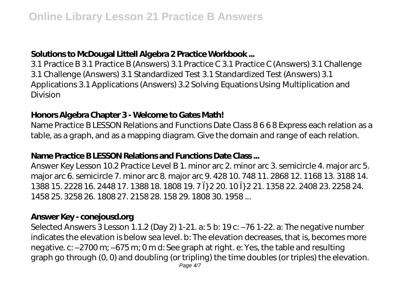# **Solutions to McDougal Littell Algebra 2 Practice Workbook ...**

3.1 Practice B 3.1 Practice B (Answers) 3.1 Practice C 3.1 Practice C (Answers) 3.1 Challenge 3.1 Challenge (Answers) 3.1 Standardized Test 3.1 Standardized Test (Answers) 3.1 Applications 3.1 Applications (Answers) 3.2 Solving Equations Using Multiplication and Division

## **Honors Algebra Chapter 3 - Welcome to Gates Math!**

Name Practice B LESSON Relations and Functions Date Class 8 6 6 8 Express each relation as a table, as a graph, and as a mapping diagram. Give the domain and range of each relation.

#### **Name Practice B LESSON Relations and Functions Date Class ...**

Answer Key Lesson 10.2 Practice Level B 1. minor arc 2. minor arc 3. semicircle 4. major arc 5. major arc 6. semicircle 7. minor arc 8. major arc 9. 428 10. 748 11. 2868 12. 1168 13. 3188 14. 1388 15. 2228 16. 2448 17. 1388 18. 1808 19. 7 Ï} 2 20. 10 Ï} 2 21. 1358 22. 2408 23. 2258 24. 1458 25. 3258 26. 1808 27. 2158 28. 158 29. 1808 30. 1958 ...

## **Answer Key - conejousd.org**

Selected Answers 3 Lesson 1.1.2 (Day 2) 1-21. a: 5 b: 19 c: –76 1-22. a: The negative number indicates the elevation is below sea level. b: The elevation decreases, that is, becomes more negative. c: –2700 m; –675 m; 0 m d: See graph at right. e: Yes, the table and resulting graph go through (0, 0) and doubling (or tripling) the time doubles (or triples) the elevation.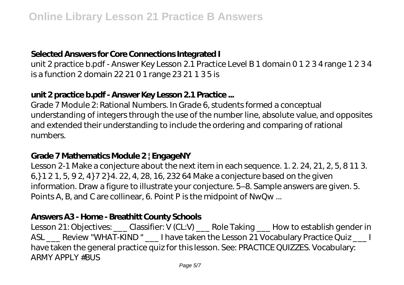#### **Selected Answers for Core Connections Integrated I**

unit 2 practice b.pdf - Answer Key Lesson 2.1 Practice Level B 1 domain 0 1 2 3 4 range 1 2 3 4 is a function 2 domain 22 21 0 1 range 23 21 1 3 5 is

# **unit 2 practice b.pdf - Answer Key Lesson 2.1 Practice ...**

Grade 7 Module 2: Rational Numbers. In Grade 6, students formed a conceptual understanding of integers through the use of the number line, absolute value, and opposites and extended their understanding to include the ordering and comparing of rational numbers.

#### **Grade 7 Mathematics Module 2 | EngageNY**

Lesson 2-1 Make a conjecture about the next item in each sequence. 1. 2. 24, 21, 2, 5, 8 11 3. 6,} 1 2 1, 5, 9 2, 4} 7 2} 4. 22, 4, 28, 16, 232 64 Make a conjecture based on the given information. Draw a figure to illustrate your conjecture. 5–8. Sample answers are given. 5. Points A, B, and C are collinear, 6. Point P is the midpoint of NwQw ...

#### **Answers A3 - Home - Breathitt County Schools**

Lesson 21: Objectives: \_\_\_ Classifier: V (CL:V) \_\_\_ Role Taking \_\_\_ How to establish gender in ASL \_\_\_ Review "WHAT-KIND " \_\_\_ I have taken the Lesson 21 Vocabulary Practice Quiz \_\_\_ I have taken the general practice quiz for this lesson. See: PRACTICE QUIZZES. Vocabulary: ARMY APPLY #BUS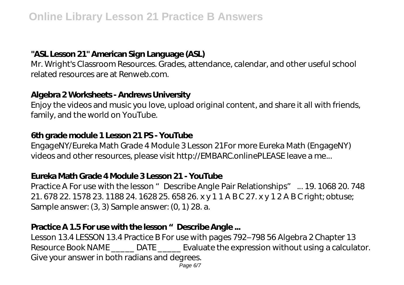## **"ASL Lesson 21" American Sign Language (ASL)**

Mr. Wright's Classroom Resources. Grades, attendance, calendar, and other useful school related resources are at Renweb.com.

#### **Algebra 2 Worksheets - Andrews University**

Enjoy the videos and music you love, upload original content, and share it all with friends, family, and the world on YouTube.

#### **6th grade module 1 Lesson 21 PS - YouTube**

EngageNY/Eureka Math Grade 4 Module 3 Lesson 21For more Eureka Math (EngageNY) videos and other resources, please visit http://EMBARC.onlinePLEASE leave a me...

#### **Eureka Math Grade 4 Module 3 Lesson 21 - YouTube**

Practice A For use with the lesson "Describe Angle Pair Relationships" ... 19. 1068 20. 748 21. 678 22. 1578 23. 1188 24. 1628 25. 658 26. x y 1 1 A B C 27. x y 1 2 A B C right; obtuse; Sample answer: (3, 3) Sample answer: (0, 1) 28. a.

#### Practice A 1.5 For use with the lesson "Describe Angle ...

Lesson 13.4 LESSON 13.4 Practice B For use with pages 792–798 56 Algebra 2 Chapter 13 Resource Book NAME \_\_\_\_\_\_ DATE \_\_\_\_\_\_ Evaluate the expression without using a calculator. Give your answer in both radians and degrees.